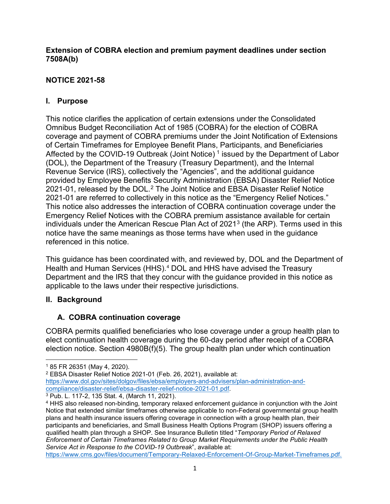### **Extension of COBRA election and premium payment deadlines under section 7508A(b)**

# **NOTICE 2021-58**

# **I. Purpose**

This notice clarifies the application of certain extensions under the Consolidated Omnibus Budget Reconciliation Act of 1985 (COBRA) for the election of COBRA coverage and payment of COBRA premiums under the Joint Notification of Extensions of Certain Timeframes for Employee Benefit Plans, Participants, and Beneficiaries Affected by the COVID-[1](#page-0-0)9 Outbreak (Joint Notice)<sup>1</sup> issued by the Department of Labor (DOL), the Department of the Treasury (Treasury Department), and the Internal Revenue Service (IRS), collectively the "Agencies", and the additional guidance provided by Employee Benefits Security Administration (EBSA) Disaster Relief Notice [2](#page-0-1)021-01, released by the DOL.<sup>2</sup> The Joint Notice and EBSA Disaster Relief Notice 2021-01 are referred to collectively in this notice as the "Emergency Relief Notices." This notice also addresses the interaction of COBRA continuation coverage under the Emergency Relief Notices with the COBRA premium assistance available for certain individuals under the American Rescue Plan Act of 2021[3](#page-0-2) (the ARP). Terms used in this notice have the same meanings as those terms have when used in the guidance referenced in this notice.

This guidance has been coordinated with, and reviewed by, DOL and the Department of Health and Human Services (HHS).<sup>[4](#page-0-3)</sup> DOL and HHS have advised the Treasury Department and the IRS that they concur with the guidance provided in this notice as applicable to the laws under their respective jurisdictions.

## **II. Background**

## **A. COBRA continuation coverage**

COBRA permits qualified beneficiaries who lose coverage under a group health plan to elect continuation health coverage during the 60-day period after receipt of a COBRA election notice. Section 4980B(f)(5). The group health plan under which continuation

[https://www.cms.gov/files/document/Temporary-Relaxed-Enforcement-Of-Group-Market-Timeframes.pdf.](https://www.cms.gov/files/document/Temporary-Relaxed-Enforcement-Of-Group-Market-Timeframes.pdf)

<span id="page-0-0"></span><sup>1</sup> 85 FR 26351 (May 4, 2020).

<span id="page-0-1"></span><sup>2</sup> EBSA Disaster Relief Notice 2021-01 (Feb. 26, 2021), available at[:](https://www.dol.gov/sites/dolgov/files/ebsa/employers-and-advisers/plan-administration-and-compliance/disaster-relief/ebsa-disaster-relief-notice-2021-01.pdf) [https://www.dol.gov/sites/dolgov/files/ebsa/employers-and-advisers/plan-administration-and](https://www.dol.gov/sites/dolgov/files/ebsa/employers-and-advisers/plan-administration-and-compliance/disaster-relief/ebsa-disaster-relief-notice-2021-01.pdf)[compliance/disaster-relief/ebsa-disaster-relief-notice-2021-01.pdf.](https://www.dol.gov/sites/dolgov/files/ebsa/employers-and-advisers/plan-administration-and-compliance/disaster-relief/ebsa-disaster-relief-notice-2021-01.pdf)

<span id="page-0-2"></span><sup>3</sup> Pub. L. 117-2, 135 Stat. 4, (March 11, 2021).

<span id="page-0-3"></span><sup>4</sup> HHS also released non-binding, temporary relaxed enforcement guidance in conjunction with the Joint Notice that extended similar timeframes otherwise applicable to non-Federal governmental group health plans and health insurance issuers offering coverage in connection with a group health plan, their participants and beneficiaries, and Small Business Health Options Program (SHOP) issuers offering a qualified health plan through a SHOP. See Insurance Bulletin titled "*Temporary Period of Relaxed Enforcement of Certain Timeframes Related to Group Market Requirements under the Public Health Service Act in Response to the COVID-19 Outbreak*", available at: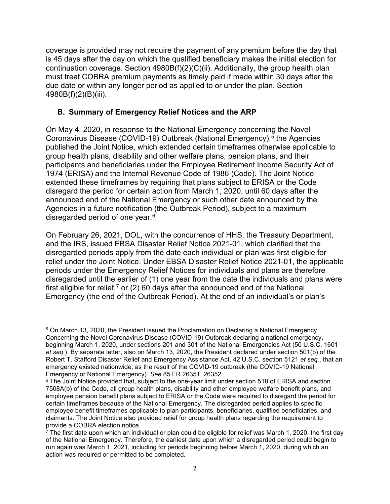coverage is provided may not require the payment of any premium before the day that is 45 days after the day on which the qualified beneficiary makes the initial election for continuation coverage. Section 4980B(f)(2)(C)(ii). Additionally, the group health plan must treat COBRA premium payments as timely paid if made within 30 days after the due date or within any longer period as applied to or under the plan. Section 4980B(f)(2)(B)(iii).

### **B. Summary of Emergency Relief Notices and the ARP**

On May 4, 2020, in response to the National Emergency concerning the Novel Coronavirus Disease (COVID-19) Outbreak (National Emergency),<sup>[5](#page-1-0)</sup> the Agencies published the Joint Notice, which extended certain timeframes otherwise applicable to group health plans, disability and other welfare plans, pension plans, and their participants and beneficiaries under the Employee Retirement Income Security Act of 1974 (ERISA) and the Internal Revenue Code of 1986 (Code). The Joint Notice extended these timeframes by requiring that plans subject to ERISA or the Code disregard the period for certain action from March 1, 2020, until 60 days after the announced end of the National Emergency or such other date announced by the Agencies in a future notification (the Outbreak Period), subject to a maximum disregarded period of one year.[6](#page-1-1)

On February 26, 2021, DOL, with the concurrence of HHS, the Treasury Department, and the IRS, issued EBSA Disaster Relief Notice 2021-01, which clarified that the disregarded periods apply from the date each individual or plan was first eligible for relief under the Joint Notice. Under EBSA Disaster Relief Notice 2021-01, the applicable periods under the Emergency Relief Notices for individuals and plans are therefore disregarded until the earlier of (1) one year from the date the individuals and plans were first eligible for relief,<sup>[7](#page-1-2)</sup> or (2) 60 days after the announced end of the National Emergency (the end of the Outbreak Period). At the end of an individual's or plan's

<span id="page-1-0"></span><sup>5</sup> On March 13, 2020, the President issued the Proclamation on Declaring a National Emergency Concerning the Novel Coronavirus Disease (COVID-19) Outbreak declaring a national emergency, beginning March 1, 2020, under sections 201 and 301 of the National Emergencies Act (50 U.S.C. 1601 *et seq*.). By separate letter, also on March 13, 2020, the President declared under section 501(b) of the Robert T. Stafford Disaster Relief and Emergency Assistance Act, 42 U.S.C. section 5121 *et seq.*, that an emergency existed nationwide, as the result of the COVID-19 outbreak (the COVID-19 National Emergency or National Emergency). *See* 85 FR 26351, 26352.

<span id="page-1-1"></span><sup>&</sup>lt;sup>6</sup> The Joint Notice provided that, subject to the one-year limit under section 518 of ERISA and section 7508A(b) of the Code, all group health plans, disability and other employee welfare benefit plans, and employee pension benefit plans subject to ERISA or the Code were required to disregard the period for certain timeframes because of the National Emergency. The disregarded period applies to specific employee benefit timeframes applicable to plan participants, beneficiaries, qualified beneficiaries, and claimants. The Joint Notice also provided relief for group health plans regarding the requirement to provide a COBRA election notice.

<span id="page-1-2"></span> $\frac{7}{7}$  The first date upon which an individual or plan could be eligible for relief was March 1, 2020, the first day of the National Emergency. Therefore, the earliest date upon which a disregarded period could begin to run again was March 1, 2021, including for periods beginning before March 1, 2020, during which an action was required or permitted to be completed.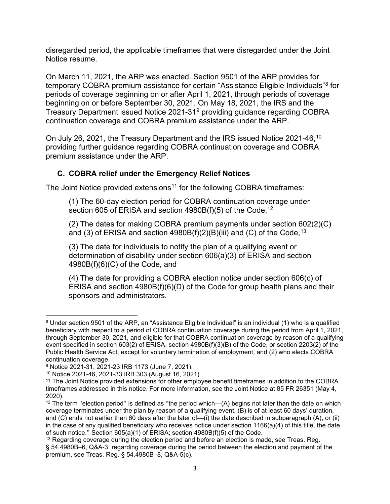disregarded period, the applicable timeframes that were disregarded under the Joint Notice resume.

On March 11, 2021, the ARP was enacted. Section 9501 of the ARP provides for temporary COBRA premium assistance for certain "Assistance Eligible Individuals"[8](#page-2-0) for periods of coverage beginning on or after April 1, 2021, through periods of coverage beginning on or before September 30, 2021. On May 18, 2021, the IRS and the Treasury Department issued Notice 2021-31[9](#page-2-1) providing guidance regarding COBRA continuation coverage and COBRA premium assistance under the ARP.

On July 26, 2021, the Treasury Department and the IRS issued Notice 2021-46,[10](#page-2-2) providing further guidance regarding COBRA continuation coverage and COBRA premium assistance under the ARP.

## **C. COBRA relief under the Emergency Relief Notices**

The Joint Notice provided extensions<sup>[11](#page-2-3)</sup> for the following COBRA timeframes:

(1) The 60-day election period for COBRA continuation coverage under section 605 of ERISA and section  $4980B(f)(5)$  of the Code,  $12$ 

(2) The dates for making COBRA premium payments under section 602(2)(C) and (3) of ERISA and section  $4980B(f)(2)(B)(iii)$  and (C) of the Code,  $^{13}$  $^{13}$  $^{13}$ 

(3) The date for individuals to notify the plan of a qualifying event or determination of disability under section 606(a)(3) of ERISA and section 4980B(f)(6)(C) of the Code, and

(4) The date for providing a COBRA election notice under section 606(c) of ERISA and section 4980B(f)(6)(D) of the Code for group health plans and their sponsors and administrators.

<span id="page-2-0"></span><sup>8</sup> Under section 9501 of the ARP, an "Assistance Eligible Individual" is an individual (1) who is a qualified beneficiary with respect to a period of COBRA continuation coverage during the period from April 1, 2021, through September 30, 2021, and eligible for that COBRA continuation coverage by reason of a qualifying event specified in section 603(2) of ERISA, section 4980B(f)(3)(B) of the Code, or section 2203(2) of the Public Health Service Act, except for voluntary termination of employment, and (2) who elects COBRA continuation coverage.

<span id="page-2-1"></span><sup>9</sup> Notice 2021-31, 2021-23 IRB 1173 (June 7, 2021).

<span id="page-2-2"></span><sup>10</sup> Notice 2021-46, 2021-33 IRB 303 (August 16, 2021).

<span id="page-2-3"></span><sup>11</sup> The Joint Notice provided extensions for other employee benefit timeframes in addition to the COBRA timeframes addressed in this notice. For more information, see the Joint Notice at 85 FR 26351 (May 4, 2020).

<span id="page-2-4"></span> $12$  The term "election period" is defined as "the period which—(A) begins not later than the date on which coverage terminates under the plan by reason of a qualifying event, (B) is of at least 60 days' duration, and (C) ends not earlier than 60 days after the later of—(i) the date described in subparagraph (A), or (ii) in the case of any qualified beneficiary who receives notice under section 1166(a)(4) of this title, the date of such notice.'' Section 605(a)(1) of ERISA; section 4980B(f)(5) of the Code.

<span id="page-2-5"></span> $13$  Regarding coverage during the election period and before an election is made, see Treas. Reg. § 54.4980B–6, Q&A-3; regarding coverage during the period between the election and payment of the premium, see Treas. Reg. § 54.4980B–8, Q&A-5(c).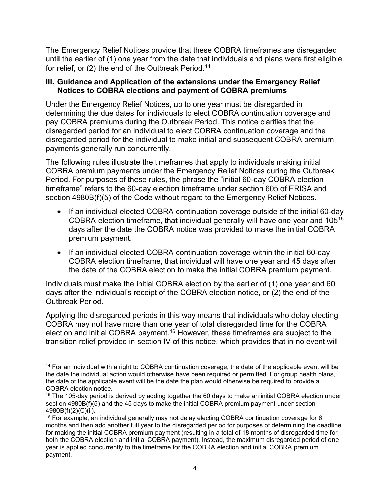The Emergency Relief Notices provide that these COBRA timeframes are disregarded until the earlier of (1) one year from the date that individuals and plans were first eligible for relief, or  $(2)$  the end of the Outbreak Period.<sup>[14](#page-3-0)</sup>

#### **III. Guidance and Application of the extensions under the Emergency Relief Notices to COBRA elections and payment of COBRA premiums**

Under the Emergency Relief Notices, up to one year must be disregarded in determining the due dates for individuals to elect COBRA continuation coverage and pay COBRA premiums during the Outbreak Period. This notice clarifies that the disregarded period for an individual to elect COBRA continuation coverage and the disregarded period for the individual to make initial and subsequent COBRA premium payments generally run concurrently.

The following rules illustrate the timeframes that apply to individuals making initial COBRA premium payments under the Emergency Relief Notices during the Outbreak Period. For purposes of these rules, the phrase the "initial 60-day COBRA election timeframe" refers to the 60-day election timeframe under section 605 of ERISA and section 4980B(f)(5) of the Code without regard to the Emergency Relief Notices.

- If an individual elected COBRA continuation coverage outside of the initial 60-day COBRA election timeframe, that individual generally will have one year and 105[15](#page-3-1) days after the date the COBRA notice was provided to make the initial COBRA premium payment.
- If an individual elected COBRA continuation coverage within the initial 60-day COBRA election timeframe, that individual will have one year and 45 days after the date of the COBRA election to make the initial COBRA premium payment.

Individuals must make the initial COBRA election by the earlier of (1) one year and 60 days after the individual's receipt of the COBRA election notice, or (2) the end of the Outbreak Period.

Applying the disregarded periods in this way means that individuals who delay electing COBRA may not have more than one year of total disregarded time for the COBRA election and initial COBRA payment.<sup>[16](#page-3-2)</sup> However, these timeframes are subject to the transition relief provided in section IV of this notice, which provides that in no event will

<span id="page-3-0"></span><sup>&</sup>lt;sup>14</sup> For an individual with a right to COBRA continuation coverage, the date of the applicable event will be the date the individual action would otherwise have been required or permitted. For group health plans, the date of the applicable event will be the date the plan would otherwise be required to provide a COBRA election notice.

<span id="page-3-1"></span><sup>&</sup>lt;sup>15</sup> The 105-day period is derived by adding together the 60 days to make an initial COBRA election under section 4980B(f)(5) and the 45 days to make the initial COBRA premium payment under section 4980B(f)(2)(C)(ii).

<span id="page-3-2"></span><sup>16</sup> For example, an individual generally may not delay electing COBRA continuation coverage for 6 months and then add another full year to the disregarded period for purposes of determining the deadline for making the initial COBRA premium payment (resulting in a total of 18 months of disregarded time for both the COBRA election and initial COBRA payment). Instead, the maximum disregarded period of one year is applied concurrently to the timeframe for the COBRA election and initial COBRA premium payment.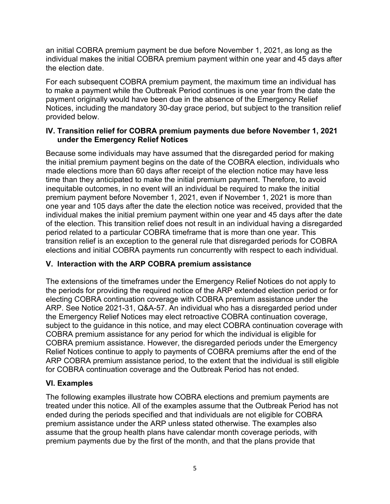an initial COBRA premium payment be due before November 1, 2021, as long as the individual makes the initial COBRA premium payment within one year and 45 days after the election date.

For each subsequent COBRA premium payment, the maximum time an individual has to make a payment while the Outbreak Period continues is one year from the date the payment originally would have been due in the absence of the Emergency Relief Notices, including the mandatory 30-day grace period, but subject to the transition relief provided below.

### **IV. Transition relief for COBRA premium payments due before November 1, 2021 under the Emergency Relief Notices**

Because some individuals may have assumed that the disregarded period for making the initial premium payment begins on the date of the COBRA election, individuals who made elections more than 60 days after receipt of the election notice may have less time than they anticipated to make the initial premium payment. Therefore, to avoid inequitable outcomes, in no event will an individual be required to make the initial premium payment before November 1, 2021, even if November 1, 2021 is more than one year and 105 days after the date the election notice was received, provided that the individual makes the initial premium payment within one year and 45 days after the date of the election. This transition relief does not result in an individual having a disregarded period related to a particular COBRA timeframe that is more than one year. This transition relief is an exception to the general rule that disregarded periods for COBRA elections and initial COBRA payments run concurrently with respect to each individual.

## **V. Interaction with the ARP COBRA premium assistance**

The extensions of the timeframes under the Emergency Relief Notices do not apply to the periods for providing the required notice of the ARP extended election period or for electing COBRA continuation coverage with COBRA premium assistance under the ARP. See Notice 2021-31, Q&A-57. An individual who has a disregarded period under the Emergency Relief Notices may elect retroactive COBRA continuation coverage, subject to the guidance in this notice, and may elect COBRA continuation coverage with COBRA premium assistance for any period for which the individual is eligible for COBRA premium assistance. However, the disregarded periods under the Emergency Relief Notices continue to apply to payments of COBRA premiums after the end of the ARP COBRA premium assistance period, to the extent that the individual is still eligible for COBRA continuation coverage and the Outbreak Period has not ended.

## **VI. Examples**

The following examples illustrate how COBRA elections and premium payments are treated under this notice. All of the examples assume that the Outbreak Period has not ended during the periods specified and that individuals are not eligible for COBRA premium assistance under the ARP unless stated otherwise. The examples also assume that the group health plans have calendar month coverage periods, with premium payments due by the first of the month, and that the plans provide that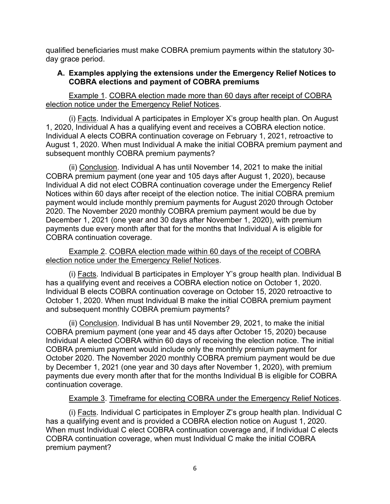qualified beneficiaries must make COBRA premium payments within the statutory 30 day grace period.

### **A. Examples applying the extensions under the Emergency Relief Notices to COBRA elections and payment of COBRA premiums**

Example 1. COBRA election made more than 60 days after receipt of COBRA election notice under the Emergency Relief Notices.

(i) Facts. Individual A participates in Employer X's group health plan. On August 1, 2020, Individual A has a qualifying event and receives a COBRA election notice. Individual A elects COBRA continuation coverage on February 1, 2021, retroactive to August 1, 2020. When must Individual A make the initial COBRA premium payment and subsequent monthly COBRA premium payments?

(ii) Conclusion. Individual A has until November 14, 2021 to make the initial COBRA premium payment (one year and 105 days after August 1, 2020), because Individual A did not elect COBRA continuation coverage under the Emergency Relief Notices within 60 days after receipt of the election notice. The initial COBRA premium payment would include monthly premium payments for August 2020 through October 2020. The November 2020 monthly COBRA premium payment would be due by December 1, 2021 (one year and 30 days after November 1, 2020), with premium payments due every month after that for the months that Individual A is eligible for COBRA continuation coverage.

Example 2. COBRA election made within 60 days of the receipt of COBRA election notice under the Emergency Relief Notices.

(i) Facts. Individual B participates in Employer Y's group health plan. Individual B has a qualifying event and receives a COBRA election notice on October 1, 2020. Individual B elects COBRA continuation coverage on October 15, 2020 retroactive to October 1, 2020. When must Individual B make the initial COBRA premium payment and subsequent monthly COBRA premium payments?

(ii) Conclusion. Individual B has until November 29, 2021, to make the initial COBRA premium payment (one year and 45 days after October 15, 2020) because Individual A elected COBRA within 60 days of receiving the election notice. The initial COBRA premium payment would include only the monthly premium payment for October 2020. The November 2020 monthly COBRA premium payment would be due by December 1, 2021 (one year and 30 days after November 1, 2020), with premium payments due every month after that for the months Individual B is eligible for COBRA continuation coverage.

## Example 3. Timeframe for electing COBRA under the Emergency Relief Notices.

(i) Facts. Individual C participates in Employer Z's group health plan. Individual C has a qualifying event and is provided a COBRA election notice on August 1, 2020. When must Individual C elect COBRA continuation coverage and, if Individual C elects COBRA continuation coverage, when must Individual C make the initial COBRA premium payment?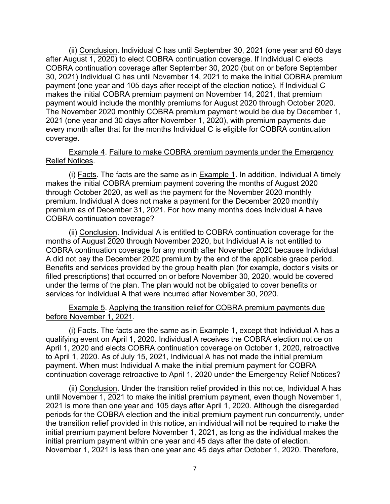(ii) Conclusion. Individual C has until September 30, 2021 (one year and 60 days after August 1, 2020) to elect COBRA continuation coverage. If Individual C elects COBRA continuation coverage after September 30, 2020 (but on or before September 30, 2021) Individual C has until November 14, 2021 to make the initial COBRA premium payment (one year and 105 days after receipt of the election notice). If Individual C makes the initial COBRA premium payment on November 14, 2021, that premium payment would include the monthly premiums for August 2020 through October 2020. The November 2020 monthly COBRA premium payment would be due by December 1, 2021 (one year and 30 days after November 1, 2020), with premium payments due every month after that for the months Individual C is eligible for COBRA continuation coverage.

#### Example 4. Failure to make COBRA premium payments under the Emergency Relief Notices.

(i) Facts. The facts are the same as in  $Example 1$ . In addition, Individual A timely makes the initial COBRA premium payment covering the months of August 2020 through October 2020, as well as the payment for the November 2020 monthly premium. Individual A does not make a payment for the December 2020 monthly premium as of December 31, 2021. For how many months does Individual A have COBRA continuation coverage?

(ii) Conclusion. Individual A is entitled to COBRA continuation coverage for the months of August 2020 through November 2020, but Individual A is not entitled to COBRA continuation coverage for any month after November 2020 because Individual A did not pay the December 2020 premium by the end of the applicable grace period. Benefits and services provided by the group health plan (for example, doctor's visits or filled prescriptions) that occurred on or before November 30, 2020, would be covered under the terms of the plan. The plan would not be obligated to cover benefits or services for Individual A that were incurred after November 30, 2020.

#### Example 5. Applying the transition relief for COBRA premium payments due before November 1, 2021.

(i) Facts. The facts are the same as in Example 1, except that Individual A has a qualifying event on April 1, 2020. Individual A receives the COBRA election notice on April 1, 2020 and elects COBRA continuation coverage on October 1, 2020, retroactive to April 1, 2020. As of July 15, 2021, Individual A has not made the initial premium payment. When must Individual A make the initial premium payment for COBRA continuation coverage retroactive to April 1, 2020 under the Emergency Relief Notices?

(ii) Conclusion. Under the transition relief provided in this notice, Individual A has until November 1, 2021 to make the initial premium payment, even though November 1, 2021 is more than one year and 105 days after April 1, 2020. Although the disregarded periods for the COBRA election and the initial premium payment run concurrently, under the transition relief provided in this notice, an individual will not be required to make the initial premium payment before November 1, 2021, as long as the individual makes the initial premium payment within one year and 45 days after the date of election. November 1, 2021 is less than one year and 45 days after October 1, 2020. Therefore,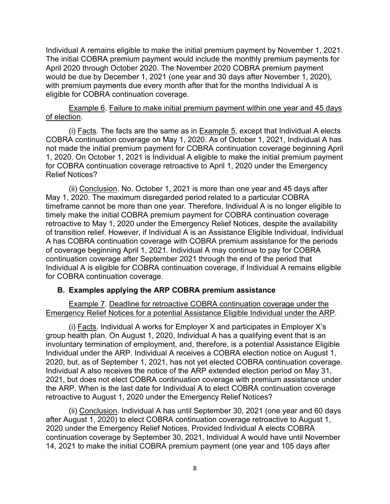Individual A remains eligible to make the initial premium payment by November 1, 2021. The initial COBRA premium payment would include the monthly premium payments for April 2020 through October 2020. The November 2020 COBRA premium payment would be due by December 1, 2021 (one year and 30 days after November 1, 2020), with premium payments due every month after that for the months Individual A is eligible for COBRA continuation coverage.

Example 6. Failure to make initial premium payment within one year and 45 days of election.

(i) Facts. The facts are the same as in  $Example 5$ , except that Individual A elects COBRA continuation coverage on May 1, 2020. As of October 1, 2021, Individual A has not made the initial premium payment for COBRA continuation coverage beginning April 1, 2020. On October 1, 2021 is Individual A eligible to make the initial premium payment for COBRA continuation coverage retroactive to April 1, 2020 under the Emergency Relief Notices?

(ii) Conclusion. No. October 1, 2021 is more than one year and 45 days after May 1, 2020. The maximum disregarded period related to a particular COBRA timeframe cannot be more than one year. Therefore, Individual A is no longer eligible to timely make the initial COBRA premium payment for COBRA continuation coverage retroactive to May 1, 2020 under the Emergency Relief Notices, despite the availability of transition relief. However, if Individual A is an Assistance Eligible Individual, Individual A has COBRA continuation coverage with COBRA premium assistance for the periods of coverage beginning April 1, 2021. Individual A may continue to pay for COBRA continuation coverage after September 2021 through the end of the period that Individual A is eligible for COBRA continuation coverage, if Individual A remains eligible for COBRA continuation coverage.

#### **B. Examples applying the ARP COBRA premium assistance**

Example 7. Deadline for retroactive COBRA continuation coverage under the Emergency Relief Notices for a potential Assistance Eligible Individual under the ARP.

(i) Facts. Individual A works for Employer X and participates in Employer X's group health plan. On August 1, 2020, Individual A has a qualifying event that is an involuntary termination of employment, and, therefore, is a potential Assistance Eligible Individual under the ARP. Individual A receives a COBRA election notice on August 1, 2020, but, as of September 1, 2021, has not yet elected COBRA continuation coverage. Individual A also receives the notice of the ARP extended election period on May 31, 2021, but does not elect COBRA continuation coverage with premium assistance under the ARP. When is the last date for Individual A to elect COBRA continuation coverage retroactive to August 1, 2020 under the Emergency Relief Notices?

(ii) Conclusion. Individual A has until September 30, 2021 (one year and 60 days after August 1, 2020) to elect COBRA continuation coverage retroactive to August 1, 2020 under the Emergency Relief Notices. Provided Individual A elects COBRA continuation coverage by September 30, 2021, Individual A would have until November 14, 2021 to make the initial COBRA premium payment (one year and 105 days after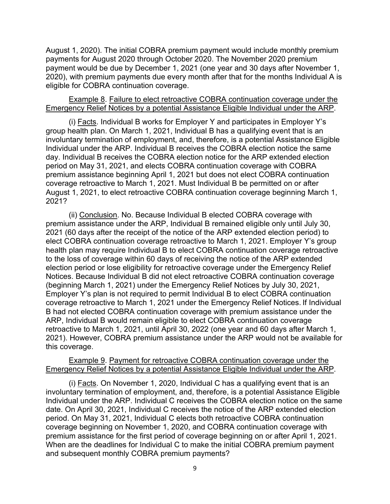August 1, 2020). The initial COBRA premium payment would include monthly premium payments for August 2020 through October 2020. The November 2020 premium payment would be due by December 1, 2021 (one year and 30 days after November 1, 2020), with premium payments due every month after that for the months Individual A is eligible for COBRA continuation coverage.

#### Example 8. Failure to elect retroactive COBRA continuation coverage under the Emergency Relief Notices by a potential Assistance Eligible Individual under the ARP.

(i) Facts. Individual B works for Employer Y and participates in Employer Y's group health plan. On March 1, 2021, Individual B has a qualifying event that is an involuntary termination of employment, and, therefore, is a potential Assistance Eligible Individual under the ARP. Individual B receives the COBRA election notice the same day. Individual B receives the COBRA election notice for the ARP extended election period on May 31, 2021, and elects COBRA continuation coverage with COBRA premium assistance beginning April 1, 2021 but does not elect COBRA continuation coverage retroactive to March 1, 2021. Must Individual B be permitted on or after August 1, 2021, to elect retroactive COBRA continuation coverage beginning March 1, 2021?

(ii) Conclusion. No. Because Individual B elected COBRA coverage with premium assistance under the ARP, Individual B remained eligible only until July 30, 2021 (60 days after the receipt of the notice of the ARP extended election period) to elect COBRA continuation coverage retroactive to March 1, 2021. Employer Y's group health plan may require Individual B to elect COBRA continuation coverage retroactive to the loss of coverage within 60 days of receiving the notice of the ARP extended election period or lose eligibility for retroactive coverage under the Emergency Relief Notices. Because Individual B did not elect retroactive COBRA continuation coverage (beginning March 1, 2021) under the Emergency Relief Notices by July 30, 2021, Employer Y's plan is not required to permit Individual B to elect COBRA continuation coverage retroactive to March 1, 2021 under the Emergency Relief Notices. If Individual B had not elected COBRA continuation coverage with premium assistance under the ARP, Individual B would remain eligible to elect COBRA continuation coverage retroactive to March 1, 2021, until April 30, 2022 (one year and 60 days after March 1, 2021). However, COBRA premium assistance under the ARP would not be available for this coverage.

#### Example 9. Payment for retroactive COBRA continuation coverage under the Emergency Relief Notices by a potential Assistance Eligible Individual under the ARP.

(i) Facts. On November 1, 2020, Individual C has a qualifying event that is an involuntary termination of employment, and, therefore, is a potential Assistance Eligible Individual under the ARP. Individual C receives the COBRA election notice on the same date. On April 30, 2021, Individual C receives the notice of the ARP extended election period. On May 31, 2021, Individual C elects both retroactive COBRA continuation coverage beginning on November 1, 2020, and COBRA continuation coverage with premium assistance for the first period of coverage beginning on or after April 1, 2021. When are the deadlines for Individual C to make the initial COBRA premium payment and subsequent monthly COBRA premium payments?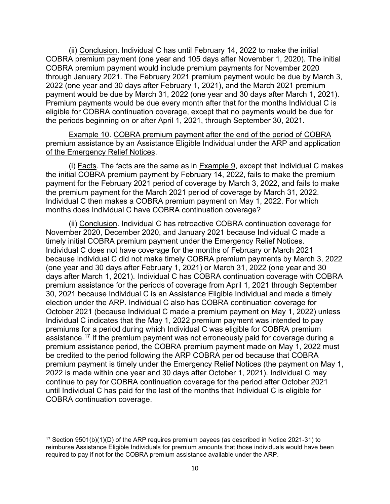(ii) Conclusion. Individual C has until February 14, 2022 to make the initial COBRA premium payment (one year and 105 days after November 1, 2020). The initial COBRA premium payment would include premium payments for November 2020 through January 2021. The February 2021 premium payment would be due by March 3, 2022 (one year and 30 days after February 1, 2021), and the March 2021 premium payment would be due by March 31, 2022 (one year and 30 days after March 1, 2021). Premium payments would be due every month after that for the months Individual C is eligible for COBRA continuation coverage, except that no payments would be due for the periods beginning on or after April 1, 2021, through September 30, 2021.

Example 10. COBRA premium payment after the end of the period of COBRA premium assistance by an Assistance Eligible Individual under the ARP and application of the Emergency Relief Notices.

(i) Facts. The facts are the same as in Example 9, except that Individual C makes the initial COBRA premium payment by February 14,  $2022$ , fails to make the premium payment for the February 2021 period of coverage by March 3, 2022, and fails to make the premium payment for the March 2021 period of coverage by March 31, 2022. Individual C then makes a COBRA premium payment on May 1, 2022. For which months does Individual C have COBRA continuation coverage?

(ii) Conclusion. Individual C has retroactive COBRA continuation coverage for November 2020, December 2020, and January 2021 because Individual C made a timely initial COBRA premium payment under the Emergency Relief Notices. Individual C does not have coverage for the months of February or March 2021 because Individual C did not make timely COBRA premium payments by March 3, 2022 (one year and 30 days after February 1, 2021) or March 31, 2022 (one year and 30 days after March 1, 2021). Individual C has COBRA continuation coverage with COBRA premium assistance for the periods of coverage from April 1, 2021 through September 30, 2021 because Individual C is an Assistance Eligible Individual and made a timely election under the ARP. Individual C also has COBRA continuation coverage for October 2021 (because Individual C made a premium payment on May 1, 2022) unless Individual C indicates that the May 1, 2022 premium payment was intended to pay premiums for a period during which Individual C was eligible for COBRA premium assistance.[17](#page-9-0) If the premium payment was not erroneously paid for coverage during a premium assistance period, the COBRA premium payment made on May 1, 2022 must be credited to the period following the ARP COBRA period because that COBRA premium payment is timely under the Emergency Relief Notices (the payment on May 1, 2022 is made within one year and 30 days after October 1, 2021). Individual C may continue to pay for COBRA continuation coverage for the period after October 2021 until Individual C has paid for the last of the months that Individual C is eligible for COBRA continuation coverage.

<span id="page-9-0"></span><sup>17</sup> Section 9501(b)(1)(D) of the ARP requires premium payees (as described in Notice 2021-31) to reimburse Assistance Eligible Individuals for premium amounts that those individuals would have been required to pay if not for the COBRA premium assistance available under the ARP.